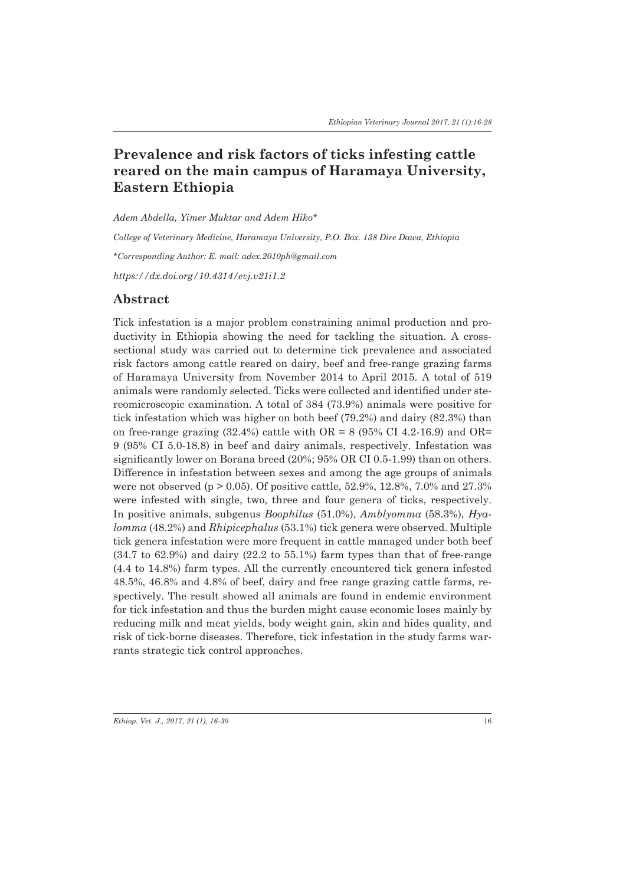# **Prevalence and risk factors of ticks infesting cattle reared on the main campus of Haramaya University, Eastern Ethiopia**

*Adem Abdella, Yimer Muktar and Adem Hiko\**

*College of Veterinary Medicine, Haramaya University, P.O. Box. 138 Dire Dawa, Ethiopia \*Corresponding Author: E. mail: adex.2010ph@gmail.com*

*https://dx.doi.org/10.4314/evj.v21i1.2*

### **Abstract**

Tick infestation is a major problem constraining animal production and productivity in Ethiopia showing the need for tackling the situation. A crosssectional study was carried out to determine tick prevalence and associated risk factors among cattle reared on dairy, beef and free-range grazing farms of Haramaya University from November 2014 to April 2015. A total of 519 animals were randomly selected. Ticks were collected and identified under stereomicroscopic examination. A total of 384 (73.9%) animals were positive for tick infestation which was higher on both beef (79.2%) and dairy (82.3%) than on free-range grazing  $(32.4\%)$  cattle with OR = 8 (95% CI 4.2-16.9) and OR= 9 (95% CI 5.0-18.8) in beef and dairy animals, respectively. Infestation was significantly lower on Borana breed (20%; 95% OR CI 0.5-1.99) than on others. Difference in infestation between sexes and among the age groups of animals were not observed ( $p > 0.05$ ). Of positive cattle, 52.9%, 12.8%, 7.0% and 27.3% were infested with single, two, three and four genera of ticks, respectively. In positive animals, subgenus *Boophilus* (51.0%), *Amblyomma* (58.3%), *Hyalomma* (48.2%) and *Rhipicephalus* (53.1%) tick genera were observed. Multiple tick genera infestation were more frequent in cattle managed under both beef (34.7 to 62.9%) and dairy (22.2 to 55.1%) farm types than that of free-range (4.4 to 14.8%) farm types. All the currently encountered tick genera infested 48.5%, 46.8% and 4.8% of beef, dairy and free range grazing cattle farms, respectively. The result showed all animals are found in endemic environment for tick infestation and thus the burden might cause economic loses mainly by reducing milk and meat yields, body weight gain, skin and hides quality, and risk of tick-borne diseases. Therefore, tick infestation in the study farms warrants strategic tick control approaches.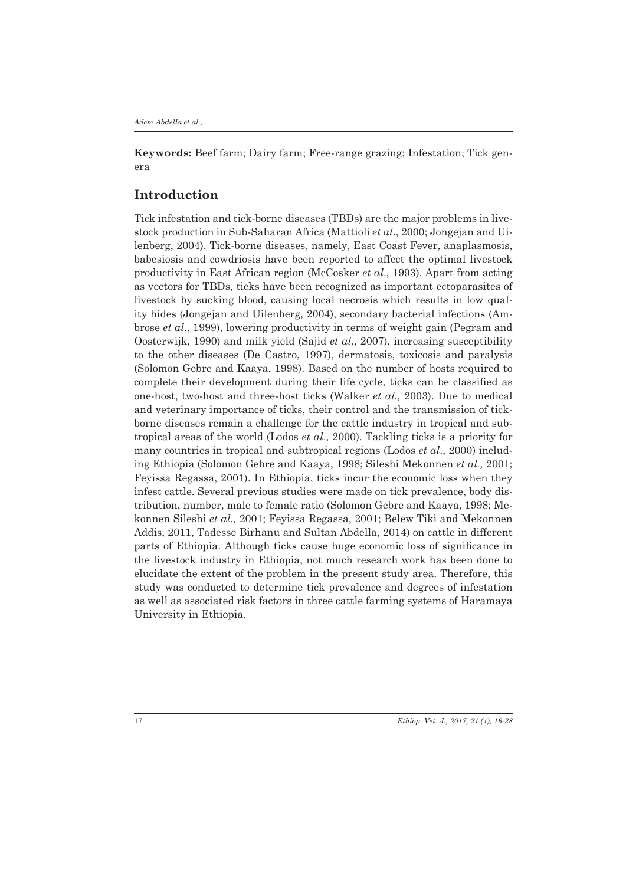**Keywords:** Beef farm; Dairy farm; Free-range grazing; Infestation; Tick genera

# **Introduction**

Tick infestation and tick-borne diseases (TBDs) are the major problems in livestock production in Sub-Saharan Africa (Mattioli *et al*., 2000; Jongejan and Uilenberg, 2004). Tick-borne diseases, namely, East Coast Fever, anaplasmosis, babesiosis and cowdriosis have been reported to affect the optimal livestock productivity in East African region (McCosker *et al*., 1993). Apart from acting as vectors for TBDs, ticks have been recognized as important ectoparasites of livestock by sucking blood, causing local necrosis which results in low quality hides (Jongejan and Uilenberg, 2004), secondary bacterial infections (Ambrose *et al*., 1999), lowering productivity in terms of weight gain (Pegram and Oosterwijk, 1990) and milk yield (Sajid *et al*., 2007), increasing susceptibility to the other diseases (De Castro, 1997), dermatosis, toxicosis and paralysis (Solomon Gebre and Kaaya, 1998). Based on the number of hosts required to complete their development during their life cycle, ticks can be classified as one-host, two-host and three-host ticks (Walker *et al.,* 2003). Due to medical and veterinary importance of ticks, their control and the transmission of tickborne diseases remain a challenge for the cattle industry in tropical and subtropical areas of the world (Lodos *et al*., 2000). Tackling ticks is a priority for many countries in tropical and subtropical regions (Lodos *et al*., 2000) including Ethiopia (Solomon Gebre and Kaaya, 1998; Sileshi Mekonnen *et al.,* 2001; Feyissa Regassa, 2001). In Ethiopia, ticks incur the economic loss when they infest cattle. Several previous studies were made on tick prevalence, body distribution, number, male to female ratio (Solomon Gebre and Kaaya, 1998; Mekonnen Sileshi *et al.,* 2001; Feyissa Regassa, 2001; Belew Tiki and Mekonnen Addis, 2011, Tadesse Birhanu and Sultan Abdella, 2014) on cattle in different parts of Ethiopia. Although ticks cause huge economic loss of significance in the livestock industry in Ethiopia, not much research work has been done to elucidate the extent of the problem in the present study area. Therefore, this study was conducted to determine tick prevalence and degrees of infestation as well as associated risk factors in three cattle farming systems of Haramaya University in Ethiopia.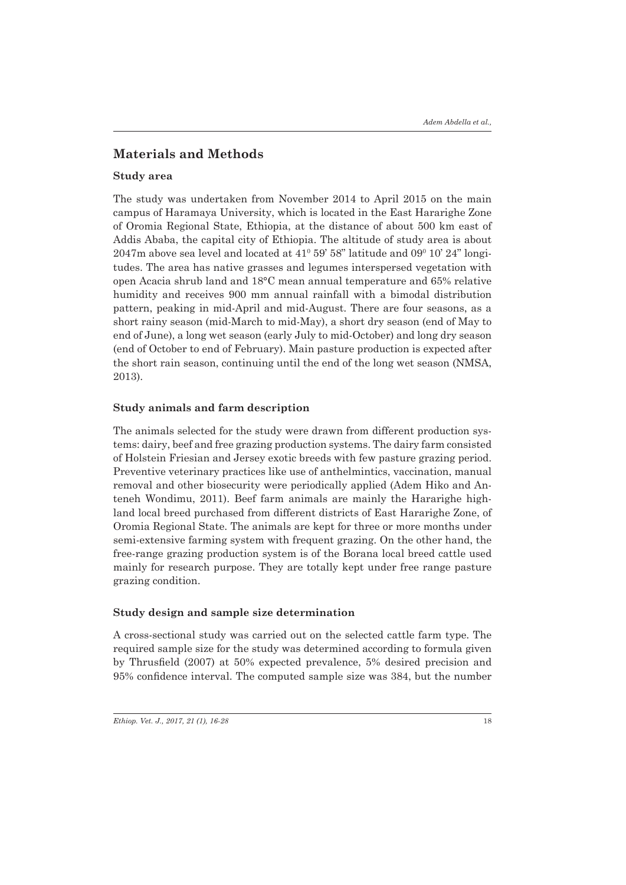# **Materials and Methods**

#### **Study area**

The study was undertaken from November 2014 to April 2015 on the main campus of Haramaya University, which is located in the East Hararighe Zone of Oromia Regional State, Ethiopia, at the distance of about 500 km east of Addis Ababa, the capital city of Ethiopia. The altitude of study area is about  $2047$ m above sea level and located at  $41^{\text{o}}$  59' 58" latitude and 09 $^{\text{o}}$  10' 24" longitudes. The area has native grasses and legumes interspersed vegetation with open Acacia shrub land and 18°C mean annual temperature and 65% relative humidity and receives 900 mm annual rainfall with a bimodal distribution pattern, peaking in mid-April and mid-August. There are four seasons, as a short rainy season (mid-March to mid-May), a short dry season (end of May to end of June), a long wet season (early July to mid-October) and long dry season (end of October to end of February). Main pasture production is expected after the short rain season, continuing until the end of the long wet season (NMSA, 2013).

### **Study animals and farm description**

The animals selected for the study were drawn from different production systems: dairy, beef and free grazing production systems. The dairy farm consisted of Holstein Friesian and Jersey exotic breeds with few pasture grazing period. Preventive veterinary practices like use of anthelmintics, vaccination, manual removal and other biosecurity were periodically applied (Adem Hiko and Anteneh Wondimu, 2011). Beef farm animals are mainly the Hararighe highland local breed purchased from different districts of East Hararighe Zone, of Oromia Regional State. The animals are kept for three or more months under semi-extensive farming system with frequent grazing. On the other hand, the free-range grazing production system is of the Borana local breed cattle used mainly for research purpose. They are totally kept under free range pasture grazing condition.

#### **Study design and sample size determination**

A cross-sectional study was carried out on the selected cattle farm type. The required sample size for the study was determined according to formula given by Thrusfield (2007) at 50% expected prevalence, 5% desired precision and 95% confidence interval. The computed sample size was 384, but the number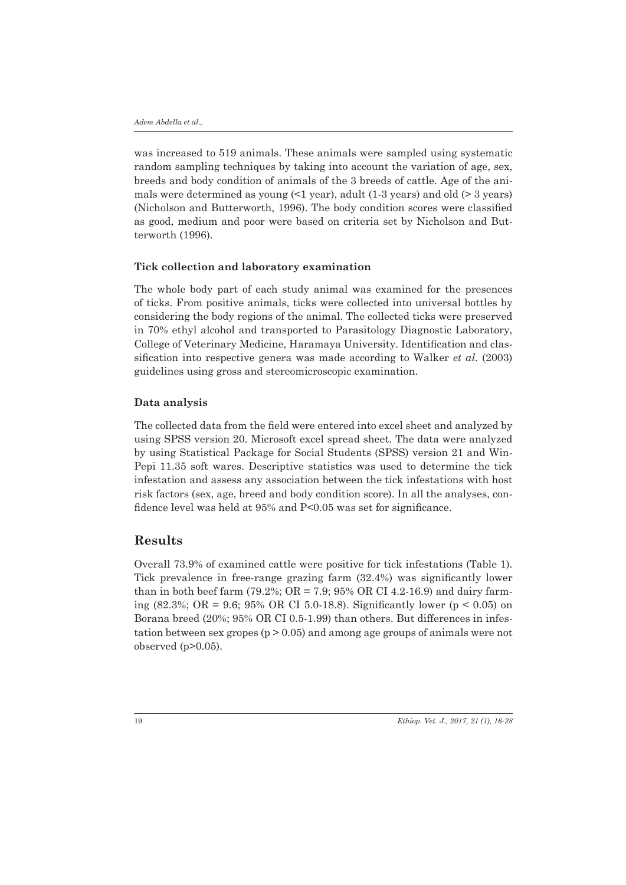was increased to 519 animals. These animals were sampled using systematic random sampling techniques by taking into account the variation of age, sex, breeds and body condition of animals of the 3 breeds of cattle. Age of the animals were determined as young  $\leq 1$  year), adult (1-3 years) and old  $\geq 3$  years) (Nicholson and Butterworth, 1996). The body condition scores were classified as good, medium and poor were based on criteria set by Nicholson and Butterworth (1996).

#### **Tick collection and laboratory examination**

The whole body part of each study animal was examined for the presences of ticks. From positive animals, ticks were collected into universal bottles by considering the body regions of the animal. The collected ticks were preserved in 70% ethyl alcohol and transported to Parasitology Diagnostic Laboratory, College of Veterinary Medicine, Haramaya University. Identification and classification into respective genera was made according to Walker *et al.* (2003) guidelines using gross and stereomicroscopic examination.

#### **Data analysis**

The collected data from the field were entered into excel sheet and analyzed by using SPSS version 20. Microsoft excel spread sheet. The data were analyzed by using Statistical Package for Social Students (SPSS) version 21 and Win-Pepi 11.35 soft wares. Descriptive statistics was used to determine the tick infestation and assess any association between the tick infestations with host risk factors (sex, age, breed and body condition score). In all the analyses, confidence level was held at 95% and P<0.05 was set for significance.

## **Results**

Overall 73.9% of examined cattle were positive for tick infestations (Table 1). Tick prevalence in free-range grazing farm (32.4%) was significantly lower than in both beef farm (79.2%;  $OR = 7.9$ ;  $95\% \ OR \ CI \ 4.2-16.9$ ) and dairy farming (82.3%; OR = 9.6; 95% OR CI 5.0-18.8). Significantly lower ( $p < 0.05$ ) on Borana breed (20%; 95% OR CI 0.5-1.99) than others. But differences in infestation between sex gropes  $(p > 0.05)$  and among age groups of animals were not observed (p>0.05).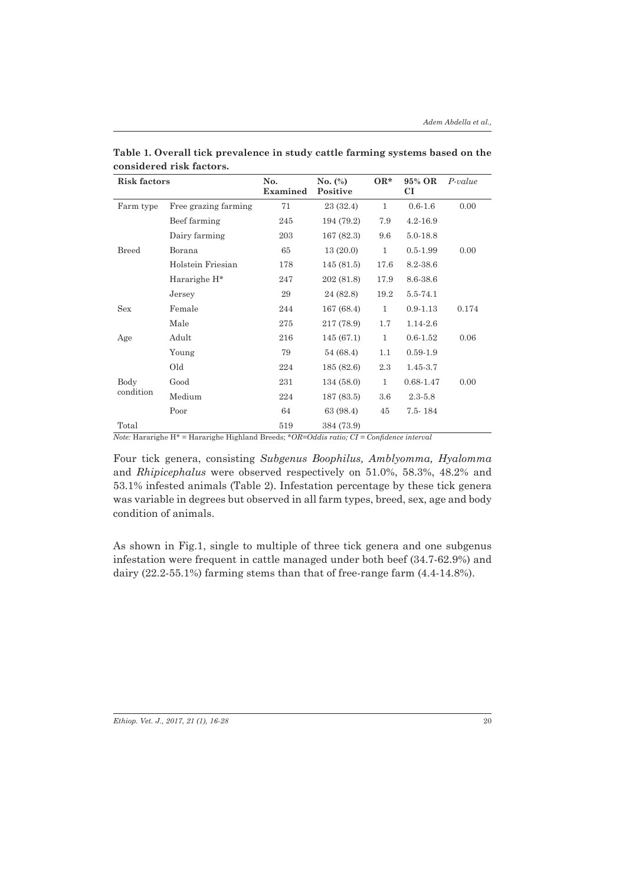| <b>Risk factors</b> |                          | No.<br>Examined | No. $(\%)$<br>Positive | $OR*$        | 95% OR<br>CI  | $P-value$ |
|---------------------|--------------------------|-----------------|------------------------|--------------|---------------|-----------|
| Farm type           | Free grazing farming     | 71              | 23(32.4)               | $\mathbf{1}$ | $0.6 - 1.6$   | 0.00      |
|                     | Beef farming             | 245             | 194 (79.2)             | 7.9          | $4.2 - 16.9$  |           |
| <b>Breed</b>        | Dairy farming            | 203             | 167(82.3)              | 9.6          | 5.0-18.8      |           |
|                     | Borana                   | 65              | 13(20.0)               | $\mathbf{1}$ | $0.5 - 1.99$  | 0.00      |
|                     | Holstein Friesian        | 178             | 145(81.5)              | 17.6         | 8.2-38.6      |           |
|                     | Hararighe H <sup>*</sup> | 247             | 202 (81.8)             | 17.9         | 8.6-38.6      |           |
|                     | Jersey                   | 29              | 24 (82.8)              | 19.2         | 5.5-74.1      |           |
| <b>Sex</b>          | Female                   | 244             | 167(68.4)              | $\mathbf{1}$ | $0.9 - 1.13$  | 0.174     |
|                     | Male                     | 275             | 217 (78.9)             | 1.7          | 1.14-2.6      |           |
| Age                 | Adult                    | 216             | 145(67.1)              | 1            | $0.6 - 1.52$  | 0.06      |
|                     | Young                    | 79              | 54 (68.4)              | 1.1          | $0.59 - 1.9$  |           |
|                     | Old                      | 224             | 185(82.6)              | 2.3          | $1.45 - 3.7$  |           |
| Body<br>condition   | Good                     | 231             | 134(58.0)              | $\mathbf{1}$ | $0.68 - 1.47$ | 0.00      |
|                     | Medium                   | 224             | 187(83.5)              | 3.6          | $2.3 - 5.8$   |           |
|                     | Poor                     | 64              | 63 (98.4)              | 45           | 7.5-184       |           |
| Total               |                          | 519             | 384 (73.9)             |              |               |           |

**Table 1. Overall tick prevalence in study cattle farming systems based on the considered risk factors.** 

*Note:* Hararighe H\* = Hararighe Highland Breeds; *\*OR=Oddis ratio; CI = Confidence interval*

Four tick genera, consisting *Subgenus Boophilus, Amblyomma, Hyalomma*  and *Rhipicephalus* were observed respectively on 51.0%, 58.3%, 48.2% and 53.1% infested animals (Table 2). Infestation percentage by these tick genera was variable in degrees but observed in all farm types, breed, sex, age and body condition of animals.

As shown in Fig.1, single to multiple of three tick genera and one subgenus infestation were frequent in cattle managed under both beef (34.7-62.9%) and dairy (22.2-55.1%) farming stems than that of free-range farm (4.4-14.8%).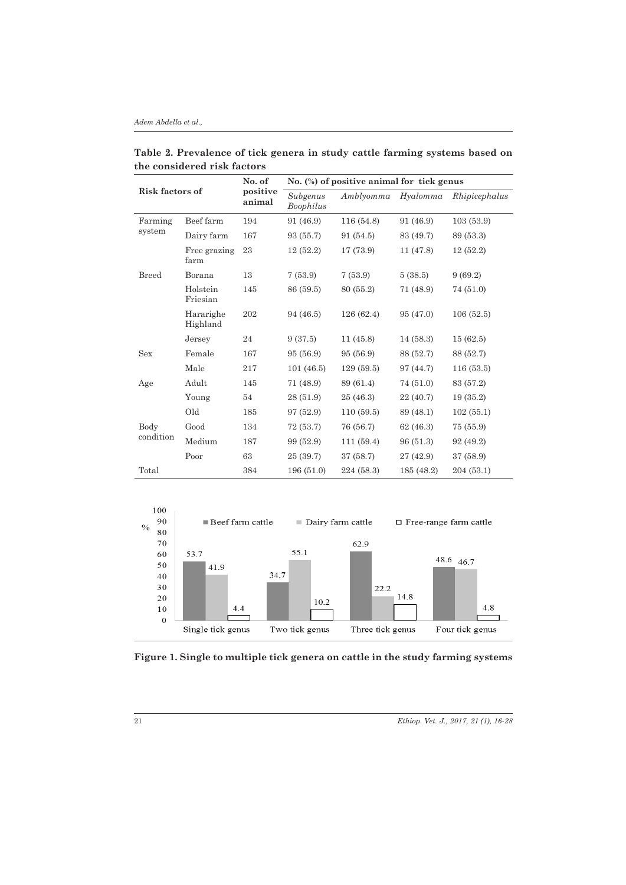#### *Adem Abdella et al.,*

| Risk factors of   |                       | No. of<br>positive<br>animal | No. (%) of positive animal for tick genus |            |            |               |  |
|-------------------|-----------------------|------------------------------|-------------------------------------------|------------|------------|---------------|--|
|                   |                       |                              | Subgenus<br>Boophilus                     | Amblyomma  | Hyalomma   | Rhipicephalus |  |
| Farming<br>system | Beef farm             | 194                          | 91 (46.9)                                 | 116(54.8)  | 91 (46.9)  | 103(53.9)     |  |
|                   | Dairy farm            | 167                          | 93 (55.7)                                 | 91 (54.5)  | 83 (49.7)  | 89 (53.3)     |  |
|                   | Free grazing<br>farm  | 23                           | 12(52.2)                                  | 17 (73.9)  | 11(47.8)   | 12(52.2)      |  |
| <b>Breed</b>      | Borana                | 13                           | 7(53.9)                                   | 7(53.9)    | 5(38.5)    | 9(69.2)       |  |
|                   | Holstein<br>Friesian  | 145                          | 86 (59.5)                                 | 80 (55.2)  | 71 (48.9)  | 74 (51.0)     |  |
|                   | Hararighe<br>Highland | 202                          | 94 (46.5)                                 | 126(62.4)  | 95 (47.0)  | 106(52.5)     |  |
|                   | Jersey                | 24                           | 9(37.5)                                   | 11(45.8)   | 14(58.3)   | 15(62.5)      |  |
| <b>Sex</b>        | Female                | 167                          | 95 (56.9)                                 | 95 (56.9)  | 88 (52.7)  | 88 (52.7)     |  |
|                   | Male                  | 217                          | 101(46.5)                                 | 129(59.5)  | 97 (44.7)  | 116(53.5)     |  |
| Age               | Adult                 | 145                          | 71 (48.9)                                 | 89 (61.4)  | 74 (51.0)  | 83 (57.2)     |  |
|                   | Young                 | 54                           | 28 (51.9)                                 | 25 (46.3)  | 22(40.7)   | 19(35.2)      |  |
|                   | Old                   | 185                          | 97 (52.9)                                 | 110(59.5)  | 89 (48.1)  | 102(55.1)     |  |
| Body<br>condition | Good                  | 134                          | 72 (53.7)                                 | 76 (56.7)  | 62(46.3)   | 75 (55.9)     |  |
|                   | Medium                | 187                          | 99 (52.9)                                 | 111(59.4)  | 96 (51.3)  | 92 (49.2)     |  |
|                   | Poor                  | 63                           | 25(39.7)                                  | 37 (58.7)  | 27(42.9)   | 37 (58.9)     |  |
| Total             |                       | 384                          | 196(51.0)                                 | 224 (58.3) | 185 (48.2) | 204(53.1)     |  |

**Table 2. Prevalence of tick genera in study cattle farming systems based on the considered risk factors**



**Figure 1. Single to multiple tick genera on cattle in the study farming systems**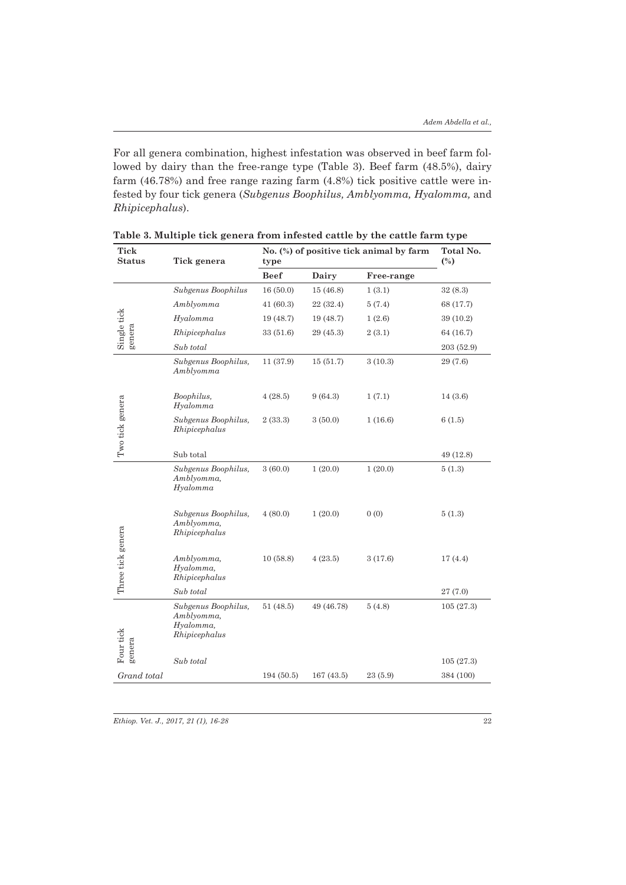For all genera combination, highest infestation was observed in beef farm followed by dairy than the free-range type (Table 3). Beef farm (48.5%), dairy farm (46.78%) and free range razing farm (4.8%) tick positive cattle were infested by four tick genera (*Subgenus Boophilus, Amblyomma, Hyalomma,* and *Rhipicephalus*).

| <b>Tick</b><br><b>Status</b> | Tick genera                                                     | No. (%) of positive tick animal by farm<br>type | Total No.<br>$(\%)$ |            |            |
|------------------------------|-----------------------------------------------------------------|-------------------------------------------------|---------------------|------------|------------|
|                              |                                                                 | <b>Beef</b>                                     | Dairy               | Free-range |            |
| Single tick<br>genera        | Subgenus Boophilus                                              | 16(50.0)                                        | 15(46.8)            | 1(3.1)     | 32(8.3)    |
|                              | Amblyomma                                                       | 41(60.3)                                        | 22 (32.4)           | 5(7.4)     | 68 (17.7)  |
|                              | Hyalomma                                                        | 19(48.7)                                        | 19 (48.7)           | 1(2.6)     | 39 (10.2)  |
|                              | Rhipicephalus                                                   | 33 (51.6)                                       | 29 (45.3)           | 2(3.1)     | 64 (16.7)  |
|                              | Sub total                                                       |                                                 |                     |            | 203 (52.9) |
|                              | Subgenus Boophilus,<br>Amblyomma                                | 11 (37.9)                                       | 15(51.7)            | 3(10.3)    | 29 (7.6)   |
| Two tick genera              | Boophilus,<br>Hyalomma                                          | 4(28.5)                                         | 9(64.3)             | 1(7.1)     | 14(3.6)    |
|                              | Subgenus Boophilus,<br>Rhipicephalus                            | 2(33.3)                                         | 3(50.0)             | 1(16.6)    | 6(1.5)     |
|                              | Sub total                                                       |                                                 |                     |            | 49 (12.8)  |
| Three tick genera            | Subgenus Boophilus,<br>Amblyomma,<br>Hyalomma                   | 3(60.0)                                         | 1(20.0)             | 1(20.0)    | 5(1.3)     |
|                              | Subgenus Boophilus,<br>Amblyomma,<br>Rhipicephalus              | 4(80.0)                                         | 1(20.0)             | 0(0)       | 5(1.3)     |
|                              | Amblyomma,<br>Hyalomma,<br>Rhipicephalus                        | 10(58.8)                                        | 4(23.5)             | 3(17.6)    | 17(4.4)    |
|                              | Sub total                                                       |                                                 |                     |            | 27(7.0)    |
| Four tick                    | Subgenus Boophilus,<br>Amblyomma,<br>Hyalomma,<br>Rhipicephalus | 51(48.5)                                        | 49 (46.78)          | 5(4.8)     | 105(27.3)  |
| genera                       | Sub total                                                       |                                                 |                     |            | 105(27.3)  |
| Grand total                  |                                                                 | 194 (50.5)                                      | 167(43.5)           | 23(5.9)    | 384 (100)  |
|                              |                                                                 |                                                 |                     |            |            |

**Table 3. Multiple tick genera from infested cattle by the cattle farm type**

*Ethiop. Vet. J., 2017, 21 (1), 16-28* 22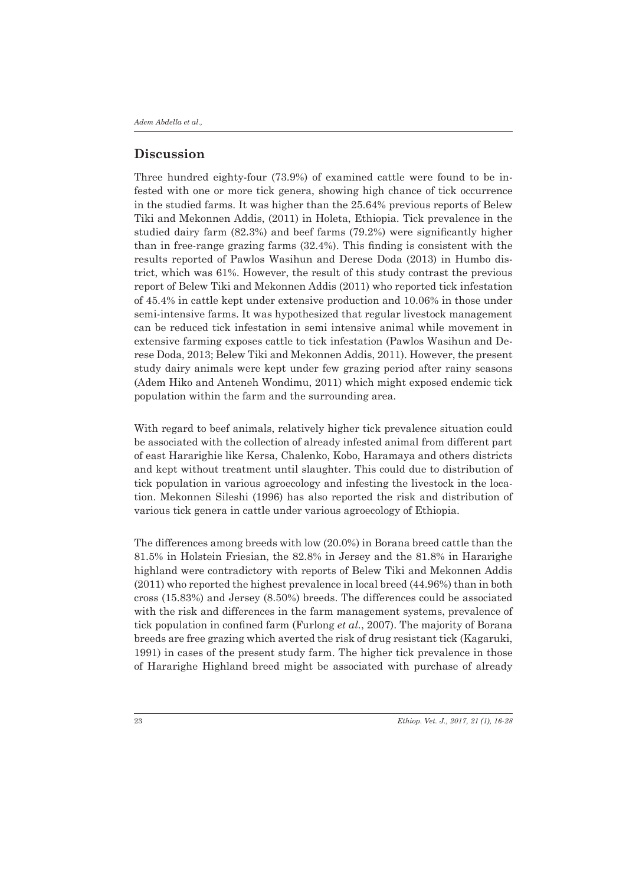# **Discussion**

Three hundred eighty-four (73.9%) of examined cattle were found to be infested with one or more tick genera, showing high chance of tick occurrence in the studied farms. It was higher than the 25.64% previous reports of Belew Tiki and Mekonnen Addis, (2011) in Holeta, Ethiopia. Tick prevalence in the studied dairy farm (82.3%) and beef farms (79.2%) were significantly higher than in free-range grazing farms (32.4%). This finding is consistent with the results reported of Pawlos Wasihun and Derese Doda (2013) in Humbo district, which was 61%. However, the result of this study contrast the previous report of Belew Tiki and Mekonnen Addis (2011) who reported tick infestation of 45.4% in cattle kept under extensive production and 10.06% in those under semi-intensive farms. It was hypothesized that regular livestock management can be reduced tick infestation in semi intensive animal while movement in extensive farming exposes cattle to tick infestation (Pawlos Wasihun and Derese Doda, 2013; Belew Tiki and Mekonnen Addis, 2011). However, the present study dairy animals were kept under few grazing period after rainy seasons (Adem Hiko and Anteneh Wondimu, 2011) which might exposed endemic tick population within the farm and the surrounding area.

With regard to beef animals, relatively higher tick prevalence situation could be associated with the collection of already infested animal from different part of east Hararighie like Kersa, Chalenko, Kobo, Haramaya and others districts and kept without treatment until slaughter. This could due to distribution of tick population in various agroecology and infesting the livestock in the location. Mekonnen Sileshi (1996) has also reported the risk and distribution of various tick genera in cattle under various agroecology of Ethiopia.

The differences among breeds with low (20.0%) in Borana breed cattle than the 81.5% in Holstein Friesian, the 82.8% in Jersey and the 81.8% in Hararighe highland were contradictory with reports of Belew Tiki and Mekonnen Addis (2011) who reported the highest prevalence in local breed (44.96%) than in both cross (15.83%) and Jersey (8.50%) breeds. The differences could be associated with the risk and differences in the farm management systems, prevalence of tick population in confined farm (Furlong *et al.*, 2007). The majority of Borana breeds are free grazing which averted the risk of drug resistant tick (Kagaruki, 1991) in cases of the present study farm. The higher tick prevalence in those of Hararighe Highland breed might be associated with purchase of already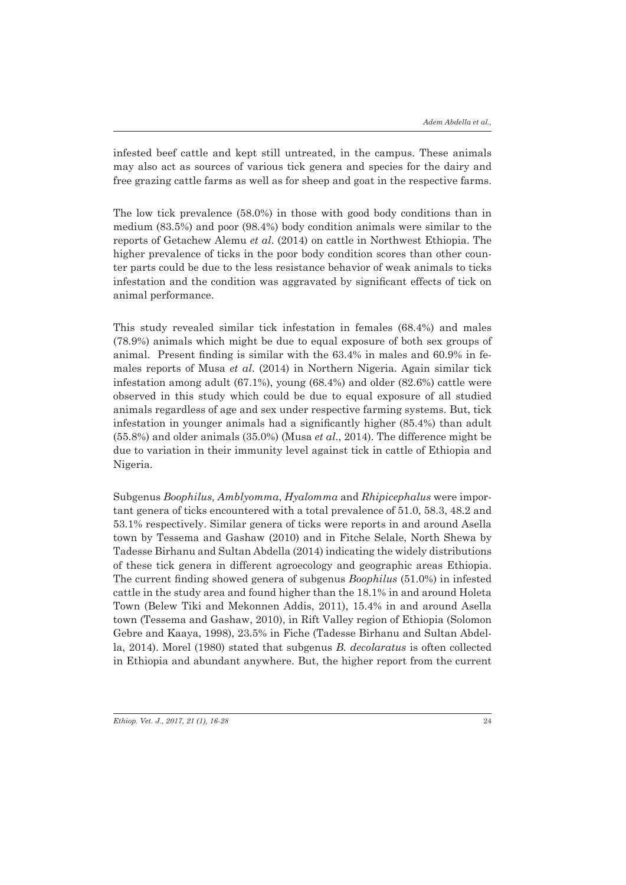infested beef cattle and kept still untreated, in the campus. These animals may also act as sources of various tick genera and species for the dairy and free grazing cattle farms as well as for sheep and goat in the respective farms.

The low tick prevalence (58.0%) in those with good body conditions than in medium (83.5%) and poor (98.4%) body condition animals were similar to the reports of Getachew Alemu *et al*. (2014) on cattle in Northwest Ethiopia. The higher prevalence of ticks in the poor body condition scores than other counter parts could be due to the less resistance behavior of weak animals to ticks infestation and the condition was aggravated by significant effects of tick on animal performance.

This study revealed similar tick infestation in females (68.4%) and males (78.9%) animals which might be due to equal exposure of both sex groups of animal. Present finding is similar with the 63.4% in males and 60.9% in females reports of Musa *et al*. (2014) in Northern Nigeria. Again similar tick infestation among adult (67.1%), young (68.4%) and older (82.6%) cattle were observed in this study which could be due to equal exposure of all studied animals regardless of age and sex under respective farming systems. But, tick infestation in younger animals had a significantly higher (85.4%) than adult (55.8%) and older animals (35.0%) (Musa *et al*., 2014). The difference might be due to variation in their immunity level against tick in cattle of Ethiopia and Nigeria.

Subgenus *Boophilus, Amblyomma*, *Hyalomma* and *Rhipicephalus* were important genera of ticks encountered with a total prevalence of 51.0, 58.3, 48.2 and 53.1% respectively. Similar genera of ticks were reports in and around Asella town by Tessema and Gashaw (2010) and in Fitche Selale, North Shewa by Tadesse Birhanu and Sultan Abdella (2014) indicating the widely distributions of these tick genera in different agroecology and geographic areas Ethiopia. The current finding showed genera of subgenus *Boophilus* (51.0%) in infested cattle in the study area and found higher than the 18.1% in and around Holeta Town (Belew Tiki and Mekonnen Addis, 2011), 15.4% in and around Asella town (Tessema and Gashaw, 2010), in Rift Valley region of Ethiopia (Solomon Gebre and Kaaya, 1998), 23.5% in Fiche (Tadesse Birhanu and Sultan Abdella, 2014). Morel (1980) stated that subgenus *B. decolaratus* is often collected in Ethiopia and abundant anywhere. But, the higher report from the current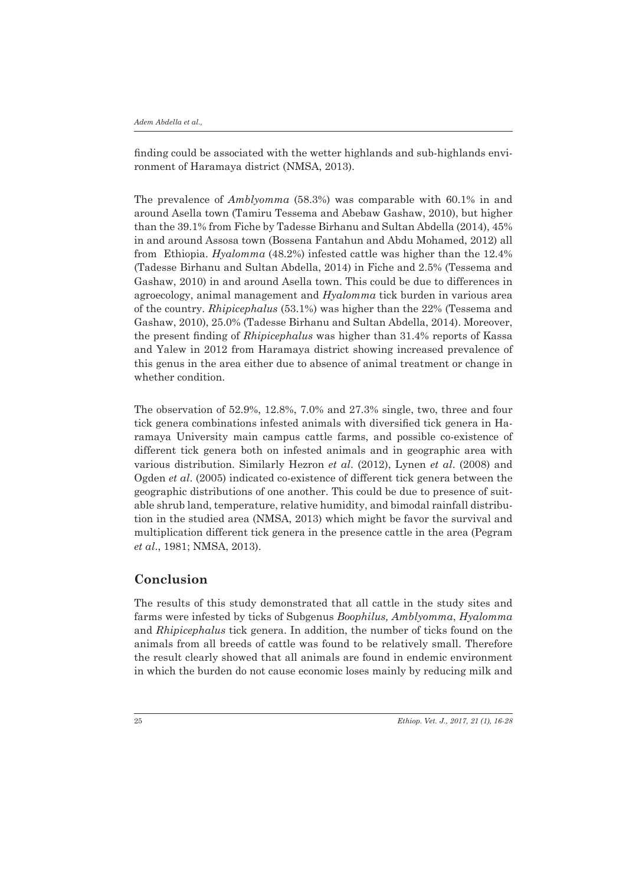finding could be associated with the wetter highlands and sub-highlands environment of Haramaya district (NMSA, 2013).

The prevalence of *Amblyomma* (58.3%) was comparable with 60.1% in and around Asella town (Tamiru Tessema and Abebaw Gashaw, 2010), but higher than the 39.1% from Fiche by Tadesse Birhanu and Sultan Abdella (2014), 45% in and around Assosa town (Bossena Fantahun and Abdu Mohamed, 2012) all from Ethiopia. *Hyalomma* (48.2%) infested cattle was higher than the 12.4% (Tadesse Birhanu and Sultan Abdella, 2014) in Fiche and 2.5% (Tessema and Gashaw, 2010) in and around Asella town. This could be due to differences in agroecology, animal management and *Hyalomma* tick burden in various area of the country. *Rhipicephalus* (53.1%) was higher than the 22% (Tessema and Gashaw, 2010), 25.0% (Tadesse Birhanu and Sultan Abdella, 2014). Moreover, the present finding of *Rhipicephalus* was higher than 31.4% reports of Kassa and Yalew in 2012 from Haramaya district showing increased prevalence of this genus in the area either due to absence of animal treatment or change in whether condition.

The observation of 52.9%, 12.8%, 7.0% and 27.3% single, two, three and four tick genera combinations infested animals with diversified tick genera in Haramaya University main campus cattle farms, and possible co-existence of different tick genera both on infested animals and in geographic area with various distribution. Similarly Hezron *et al*. (2012), Lynen *et al*. (2008) and Ogden *et al*. (2005) indicated co-existence of different tick genera between the geographic distributions of one another. This could be due to presence of suitable shrub land, temperature, relative humidity, and bimodal rainfall distribution in the studied area (NMSA, 2013) which might be favor the survival and multiplication different tick genera in the presence cattle in the area (Pegram *et al*., 1981; NMSA, 2013).

# **Conclusion**

The results of this study demonstrated that all cattle in the study sites and farms were infested by ticks of Subgenus *Boophilus, Amblyomma*, *Hyalomma*  and *Rhipicephalus* tick genera. In addition, the number of ticks found on the animals from all breeds of cattle was found to be relatively small. Therefore the result clearly showed that all animals are found in endemic environment in which the burden do not cause economic loses mainly by reducing milk and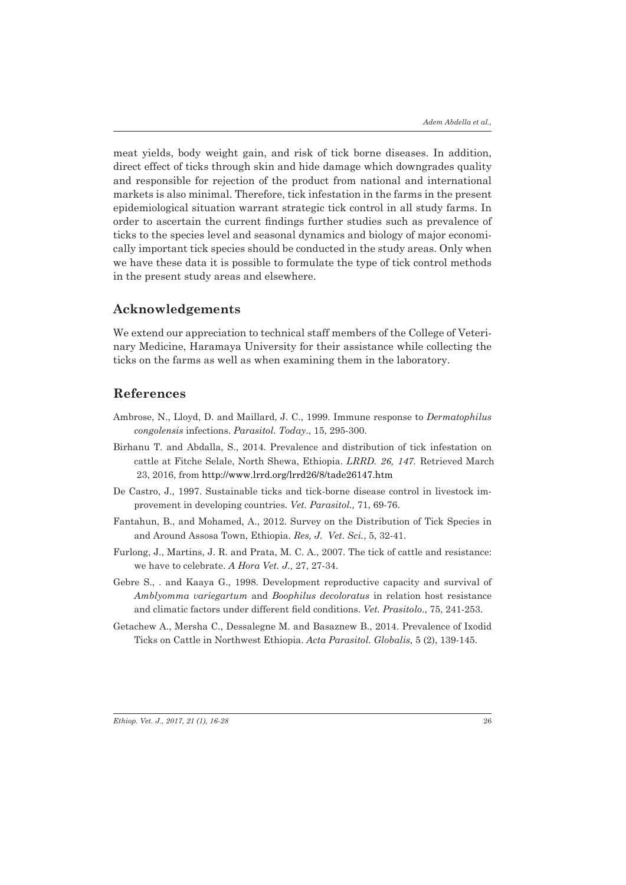meat yields, body weight gain, and risk of tick borne diseases. In addition, direct effect of ticks through skin and hide damage which downgrades quality and responsible for rejection of the product from national and international markets is also minimal. Therefore, tick infestation in the farms in the present epidemiological situation warrant strategic tick control in all study farms. In order to ascertain the current findings further studies such as prevalence of ticks to the species level and seasonal dynamics and biology of major economically important tick species should be conducted in the study areas. Only when we have these data it is possible to formulate the type of tick control methods in the present study areas and elsewhere.

### **Acknowledgements**

We extend our appreciation to technical staff members of the College of Veterinary Medicine, Haramaya University for their assistance while collecting the ticks on the farms as well as when examining them in the laboratory.

### **References**

- Ambrose, N., Lloyd, D. and Maillard, J. C., 1999. Immune response to *Dermatophilus congolensis* infections. *Parasitol. Today*., 15, 295-300.
- Birhanu T. and Abdalla, S., 2014. Prevalence and distribution of tick infestation on cattle at Fitche Selale, North Shewa, Ethiopia. *LRRD. 26, 147.* Retrieved March 23, 2016, from http://www.lrrd.org/lrrd26/8/tade26147.htm
- De Castro, J., 1997. Sustainable ticks and tick-borne disease control in livestock improvement in developing countries. *Vet. Parasitol.,* 71, 69-76.
- Fantahun, B., and Mohamed, A., 2012. Survey on the Distribution of Tick Species in and Around Assosa Town, Ethiopia. *Res, J. Vet. Sci.*, 5, 32-41.
- Furlong, J., Martins, J. R. and Prata, M. C. A., 2007. The tick of cattle and resistance: we have to celebrate. *A Hora Vet. J.,* 27, 27-34.
- Gebre S., . and Kaaya G., 1998. Development reproductive capacity and survival of *Amblyomma variegartum* and *Boophilus decoloratus* in relation host resistance and climatic factors under different field conditions. *Vet. Prasitolo*., 75, 241-253.
- Getachew A., Mersha C., Dessalegne M. and Basaznew B., 2014. Prevalence of Ixodid Ticks on Cattle in Northwest Ethiopia. *Acta Parasitol. Globalis,* 5 (2), 139-145.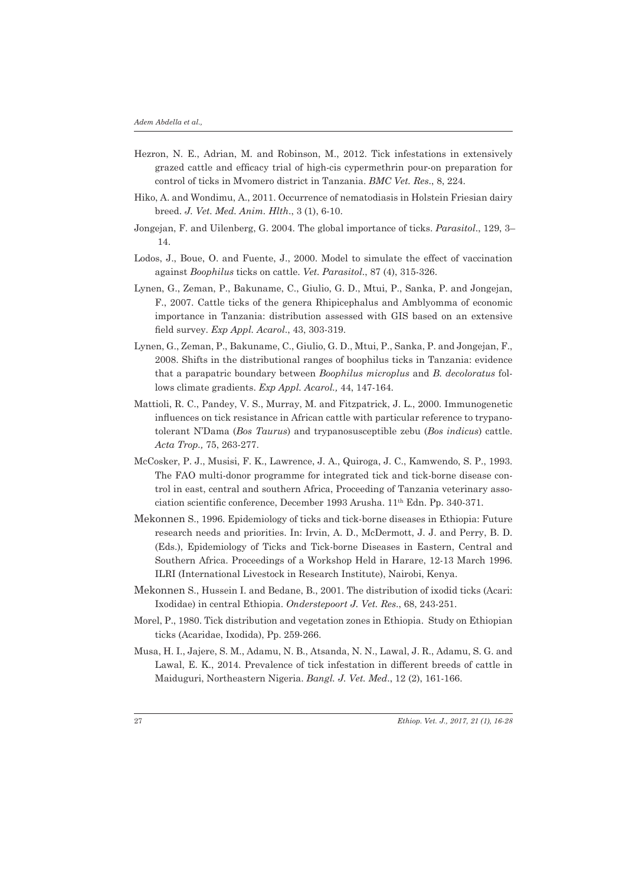- Hezron, N. E., Adrian, M. and Robinson, M., 2012. Tick infestations in extensively grazed cattle and efficacy trial of high-cis cypermethrin pour-on preparation for control of ticks in Mvomero district in Tanzania. *BMC Vet. Res*., 8, 224.
- Hiko, A. and Wondimu, A., 2011. Occurrence of nematodiasis in Holstein Friesian dairy breed. *J. Vet. Med. Anim. Hlth*., 3 (1), 6-10.
- Jongejan, F. and Uilenberg, G. 2004. The global importance of ticks. *Parasitol*., 129, 3– 14.
- Lodos, J., Boue, O. and Fuente, J., 2000. Model to simulate the effect of vaccination against *Boophilus* ticks on cattle. *Vet. Parasitol*., 87 (4), 315-326.
- Lynen, G., Zeman, P., Bakuname, C., Giulio, G. D., Mtui, P., Sanka, P. and Jongejan, F., 2007. Cattle ticks of the genera Rhipicephalus and Amblyomma of economic importance in Tanzania: distribution assessed with GIS based on an extensive field survey. *Exp Appl. Acarol*., 43, 303-319.
- Lynen, G., Zeman, P., Bakuname, C., Giulio, G. D., Mtui, P., Sanka, P. and Jongejan, F., 2008. Shifts in the distributional ranges of boophilus ticks in Tanzania: evidence that a parapatric boundary between *Boophilus microplus* and *B. decoloratus* follows climate gradients. *Exp Appl. Acarol.,* 44, 147-164.
- Mattioli, R. C., Pandey, V. S., Murray, M. and Fitzpatrick, J. L., 2000. Immunogenetic influences on tick resistance in African cattle with particular reference to trypanotolerant N'Dama (*Bos Taurus*) and trypanosusceptible zebu (*Bos indicus*) cattle. *Acta Trop.,* 75, 263-277.
- McCosker, P. J., Musisi, F. K., Lawrence, J. A., Quiroga, J. C., Kamwendo, S. P., 1993. The FAO multi-donor programme for integrated tick and tick-borne disease control in east, central and southern Africa, Proceeding of Tanzania veterinary association scientific conference, December 1993 Arusha. 11th Edn. Pp. 340-371.
- Mekonnen S., 1996. Epidemiology of ticks and tick-borne diseases in Ethiopia: Future research needs and priorities. In: Irvin, A. D., McDermott, J. J. and Perry, B. D. (Eds.), Epidemiology of Ticks and Tick-borne Diseases in Eastern, Central and Southern Africa. Proceedings of a Workshop Held in Harare, 12-13 March 1996. ILRI (International Livestock in Research Institute), Nairobi, Kenya.
- Mekonnen S., Hussein I. and Bedane, B., 2001. The distribution of ixodid ticks (Acari: Ixodidae) in central Ethiopia. *Onderstepoort J. Vet. Res*., 68, 243-251.
- Morel, P., 1980. Tick distribution and vegetation zones in Ethiopia. Study on Ethiopian ticks (Acaridae, Ixodida), Pp. 259-266.
- Musa, H. I., Jajere, S. M., Adamu, N. B., Atsanda, N. N., Lawal, J. R., Adamu, S. G. and Lawal, E. K., 2014. Prevalence of tick infestation in different breeds of cattle in Maiduguri, Northeastern Nigeria. *Bangl. J. Vet. Med*., 12 (2), 161-166.